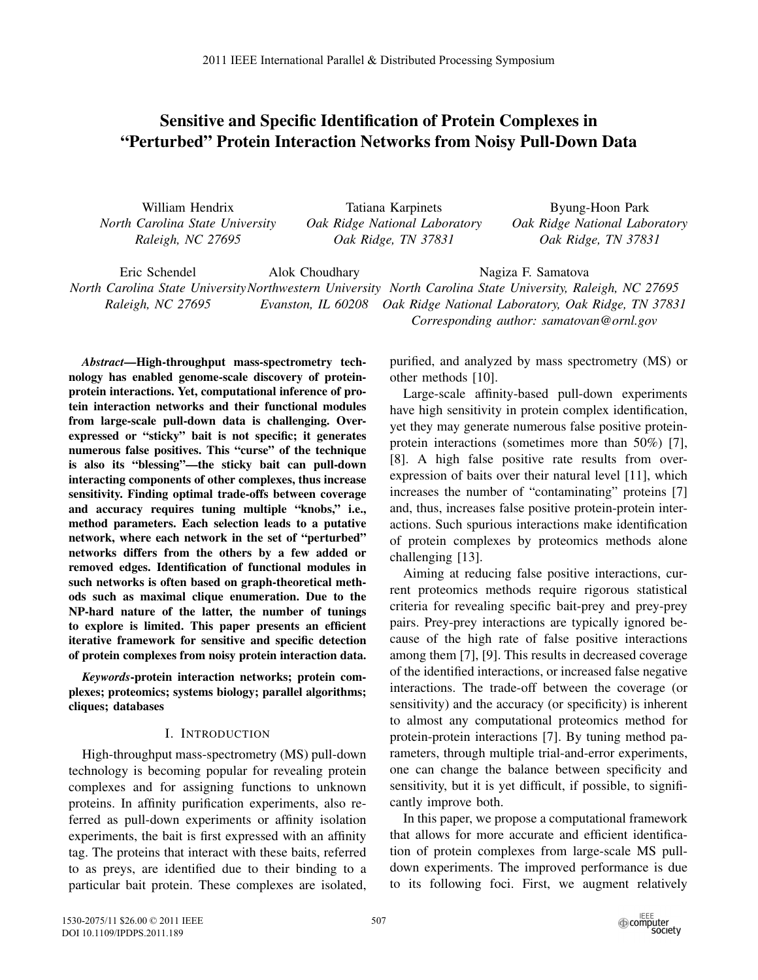# Sensitive and Specific Identification of Protein Complexes in "Perturbed" Protein Interaction Networks from Noisy Pull-Down Data

William Hendrix *North Carolina State University Raleigh, NC 27695*

Tatiana Karpinets *Oak Ridge National Laboratory Oak Ridge, TN 37831*

Byung-Hoon Park *Oak Ridge National Laboratory Oak Ridge, TN 37831*

Eric Schendel Alok Choudhary Nagiza F. Samatova

*North Carolina State University Northwestern University North Carolina State University, Raleigh, NC 27695 Raleigh, NC 27695 Evanston, IL 60208 Oak Ridge National Laboratory, Oak Ridge, TN 37831 Corresponding author: samatovan@ornl.gov*

*Abstract*—High-throughput mass-spectrometry technology has enabled genome-scale discovery of proteinprotein interactions. Yet, computational inference of protein interaction networks and their functional modules from large-scale pull-down data is challenging. Overexpressed or "sticky" bait is not specific; it generates numerous false positives. This "curse" of the technique is also its "blessing"—the sticky bait can pull-down interacting components of other complexes, thus increase sensitivity. Finding optimal trade-offs between coverage and accuracy requires tuning multiple "knobs," i.e., method parameters. Each selection leads to a putative network, where each network in the set of "perturbed" networks differs from the others by a few added or removed edges. Identification of functional modules in such networks is often based on graph-theoretical methods such as maximal clique enumeration. Due to the NP-hard nature of the latter, the number of tunings to explore is limited. This paper presents an efficient iterative framework for sensitive and specific detection of protein complexes from noisy protein interaction data.

*Keywords*-protein interaction networks; protein complexes; proteomics; systems biology; parallel algorithms; cliques; databases

### I. INTRODUCTION

High-throughput mass-spectrometry (MS) pull-down technology is becoming popular for revealing protein complexes and for assigning functions to unknown proteins. In affinity purification experiments, also referred as pull-down experiments or affinity isolation experiments, the bait is first expressed with an affinity tag. The proteins that interact with these baits, referred to as preys, are identified due to their binding to a particular bait protein. These complexes are isolated, purified, and analyzed by mass spectrometry (MS) or other methods [10].

Large-scale affinity-based pull-down experiments have high sensitivity in protein complex identification, yet they may generate numerous false positive proteinprotein interactions (sometimes more than 50%) [7], [8]. A high false positive rate results from overexpression of baits over their natural level [11], which increases the number of "contaminating" proteins [7] and, thus, increases false positive protein-protein interactions. Such spurious interactions make identification of protein complexes by proteomics methods alone challenging [13].

Aiming at reducing false positive interactions, current proteomics methods require rigorous statistical criteria for revealing specific bait-prey and prey-prey pairs. Prey-prey interactions are typically ignored because of the high rate of false positive interactions among them [7], [9]. This results in decreased coverage of the identified interactions, or increased false negative interactions. The trade-off between the coverage (or sensitivity) and the accuracy (or specificity) is inherent to almost any computational proteomics method for protein-protein interactions [7]. By tuning method parameters, through multiple trial-and-error experiments, one can change the balance between specificity and sensitivity, but it is yet difficult, if possible, to significantly improve both.

In this paper, we propose a computational framework that allows for more accurate and efficient identification of protein complexes from large-scale MS pulldown experiments. The improved performance is due to its following foci. First, we augment relatively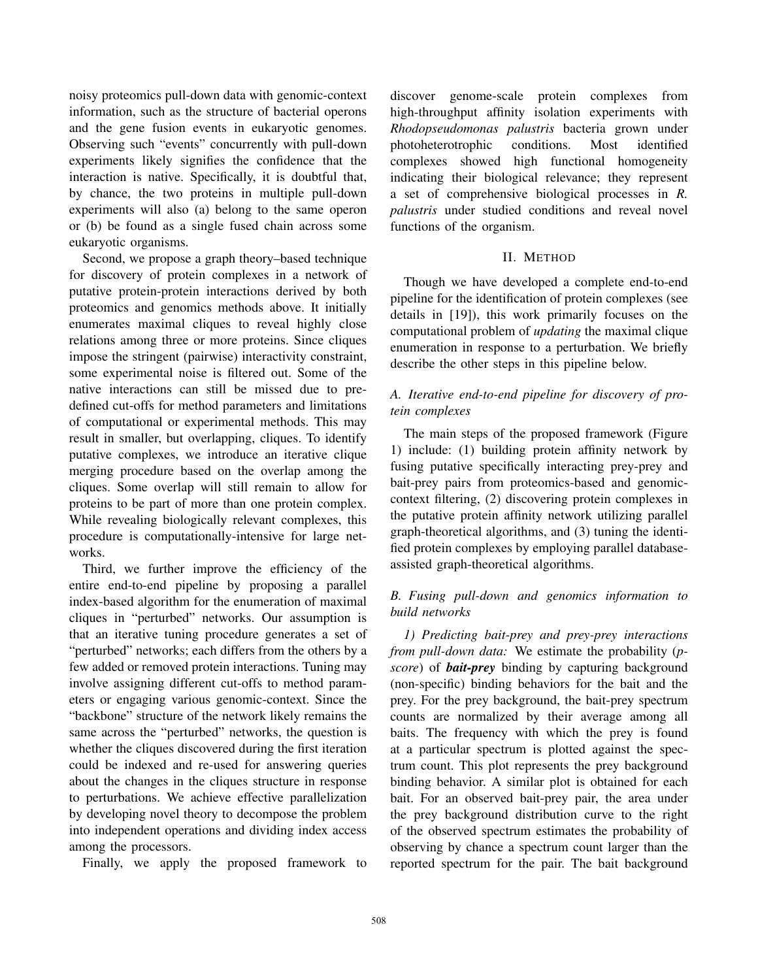noisy proteomics pull-down data with genomic-context information, such as the structure of bacterial operons and the gene fusion events in eukaryotic genomes. Observing such "events" concurrently with pull-down experiments likely signifies the confidence that the interaction is native. Specifically, it is doubtful that, by chance, the two proteins in multiple pull-down experiments will also (a) belong to the same operon or (b) be found as a single fused chain across some eukaryotic organisms.

Second, we propose a graph theory–based technique for discovery of protein complexes in a network of putative protein-protein interactions derived by both proteomics and genomics methods above. It initially enumerates maximal cliques to reveal highly close relations among three or more proteins. Since cliques impose the stringent (pairwise) interactivity constraint, some experimental noise is filtered out. Some of the native interactions can still be missed due to predefined cut-offs for method parameters and limitations of computational or experimental methods. This may result in smaller, but overlapping, cliques. To identify putative complexes, we introduce an iterative clique merging procedure based on the overlap among the cliques. Some overlap will still remain to allow for proteins to be part of more than one protein complex. While revealing biologically relevant complexes, this procedure is computationally-intensive for large networks.

Third, we further improve the efficiency of the entire end-to-end pipeline by proposing a parallel index-based algorithm for the enumeration of maximal cliques in "perturbed" networks. Our assumption is that an iterative tuning procedure generates a set of "perturbed" networks; each differs from the others by a few added or removed protein interactions. Tuning may involve assigning different cut-offs to method parameters or engaging various genomic-context. Since the "backbone" structure of the network likely remains the same across the "perturbed" networks, the question is whether the cliques discovered during the first iteration could be indexed and re-used for answering queries about the changes in the cliques structure in response to perturbations. We achieve effective parallelization by developing novel theory to decompose the problem into independent operations and dividing index access among the processors.

Finally, we apply the proposed framework to

discover genome-scale protein complexes from high-throughput affinity isolation experiments with *Rhodopseudomonas palustris* bacteria grown under photoheterotrophic conditions. Most identified complexes showed high functional homogeneity indicating their biological relevance; they represent a set of comprehensive biological processes in *R. palustris* under studied conditions and reveal novel functions of the organism.

# II. METHOD

Though we have developed a complete end-to-end pipeline for the identification of protein complexes (see details in [19]), this work primarily focuses on the computational problem of *updating* the maximal clique enumeration in response to a perturbation. We briefly describe the other steps in this pipeline below.

# *A. Iterative end-to-end pipeline for discovery of protein complexes*

The main steps of the proposed framework (Figure 1) include: (1) building protein affinity network by fusing putative specifically interacting prey-prey and bait-prey pairs from proteomics-based and genomiccontext filtering, (2) discovering protein complexes in the putative protein affinity network utilizing parallel graph-theoretical algorithms, and (3) tuning the identified protein complexes by employing parallel databaseassisted graph-theoretical algorithms.

# *B. Fusing pull-down and genomics information to build networks*

*1) Predicting bait-prey and prey-prey interactions from pull-down data:* We estimate the probability (*pscore*) of *bait-prey* binding by capturing background (non-specific) binding behaviors for the bait and the prey. For the prey background, the bait-prey spectrum counts are normalized by their average among all baits. The frequency with which the prey is found at a particular spectrum is plotted against the spectrum count. This plot represents the prey background binding behavior. A similar plot is obtained for each bait. For an observed bait-prey pair, the area under the prey background distribution curve to the right of the observed spectrum estimates the probability of observing by chance a spectrum count larger than the reported spectrum for the pair. The bait background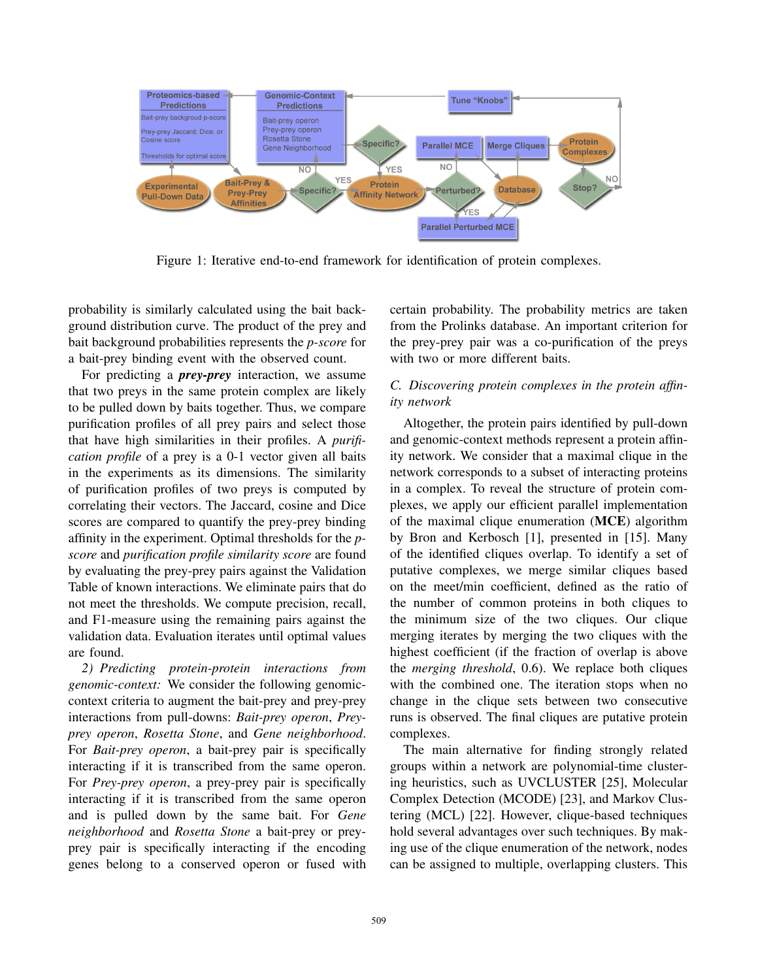

Figure 1: Iterative end-to-end framework for identification of protein complexes.

probability is similarly calculated using the bait background distribution curve. The product of the prey and bait background probabilities represents the *p-score* for a bait-prey binding event with the observed count.

For predicting a *prey-prey* interaction, we assume that two preys in the same protein complex are likely to be pulled down by baits together. Thus, we compare purification profiles of all prey pairs and select those that have high similarities in their profiles. A *purification profile* of a prey is a 0-1 vector given all baits in the experiments as its dimensions. The similarity of purification profiles of two preys is computed by correlating their vectors. The Jaccard, cosine and Dice scores are compared to quantify the prey-prey binding affinity in the experiment. Optimal thresholds for the *pscore* and *purification profile similarity score* are found by evaluating the prey-prey pairs against the Validation Table of known interactions. We eliminate pairs that do not meet the thresholds. We compute precision, recall, and F1-measure using the remaining pairs against the validation data. Evaluation iterates until optimal values are found.

*2) Predicting protein-protein interactions from genomic-context:* We consider the following genomiccontext criteria to augment the bait-prey and prey-prey interactions from pull-downs: *Bait-prey operon*, *Preyprey operon*, *Rosetta Stone*, and *Gene neighborhood*. For *Bait-prey operon*, a bait-prey pair is specifically interacting if it is transcribed from the same operon. For *Prey-prey operon*, a prey-prey pair is specifically interacting if it is transcribed from the same operon and is pulled down by the same bait. For *Gene neighborhood* and *Rosetta Stone* a bait-prey or preyprey pair is specifically interacting if the encoding genes belong to a conserved operon or fused with certain probability. The probability metrics are taken from the Prolinks database. An important criterion for the prey-prey pair was a co-purification of the preys with two or more different baits.

# *C. Discovering protein complexes in the protein affinity network*

Altogether, the protein pairs identified by pull-down and genomic-context methods represent a protein affinity network. We consider that a maximal clique in the network corresponds to a subset of interacting proteins in a complex. To reveal the structure of protein complexes, we apply our efficient parallel implementation of the maximal clique enumeration (MCE) algorithm by Bron and Kerbosch [1], presented in [15]. Many of the identified cliques overlap. To identify a set of putative complexes, we merge similar cliques based on the meet/min coefficient, defined as the ratio of the number of common proteins in both cliques to the minimum size of the two cliques. Our clique merging iterates by merging the two cliques with the highest coefficient (if the fraction of overlap is above the *merging threshold*, 0.6). We replace both cliques with the combined one. The iteration stops when no change in the clique sets between two consecutive runs is observed. The final cliques are putative protein complexes.

The main alternative for finding strongly related groups within a network are polynomial-time clustering heuristics, such as UVCLUSTER [25], Molecular Complex Detection (MCODE) [23], and Markov Clustering (MCL) [22]. However, clique-based techniques hold several advantages over such techniques. By making use of the clique enumeration of the network, nodes can be assigned to multiple, overlapping clusters. This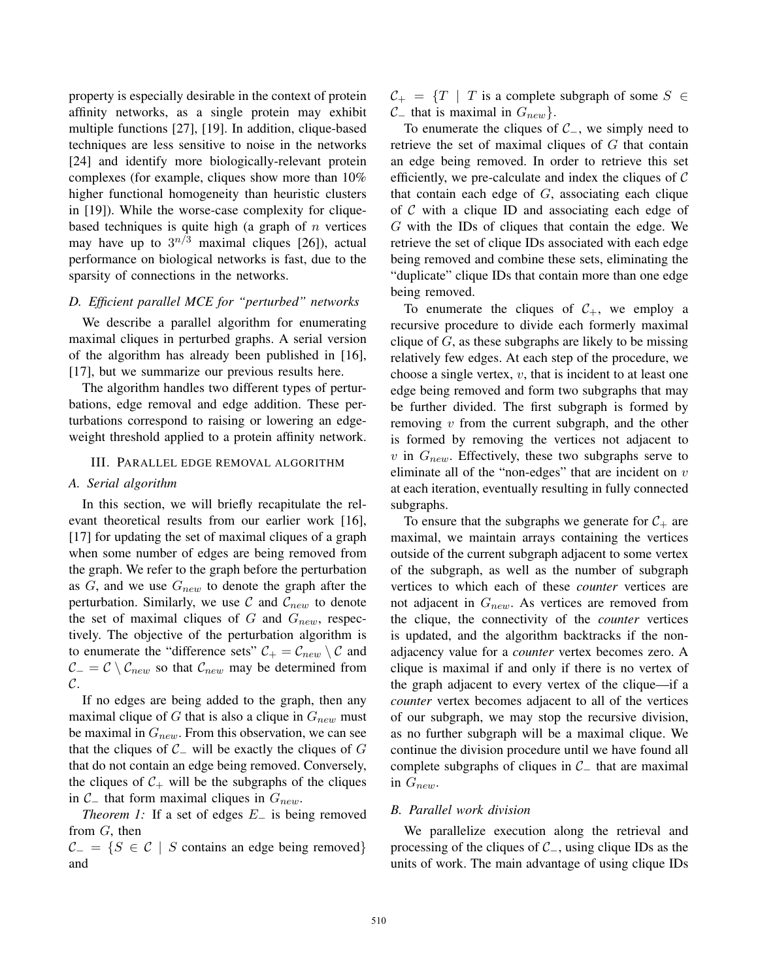property is especially desirable in the context of protein affinity networks, as a single protein may exhibit multiple functions [27], [19]. In addition, clique-based techniques are less sensitive to noise in the networks [24] and identify more biologically-relevant protein complexes (for example, cliques show more than 10% higher functional homogeneity than heuristic clusters in [19]). While the worse-case complexity for cliquebased techniques is quite high (a graph of  $n$  vertices may have up to  $3^{n/3}$  maximal cliques [26]), actual performance on biological networks is fast, due to the sparsity of connections in the networks.

### *D. Efficient parallel MCE for "perturbed" networks*

We describe a parallel algorithm for enumerating maximal cliques in perturbed graphs. A serial version of the algorithm has already been published in [16], [17], but we summarize our previous results here.

The algorithm handles two different types of perturbations, edge removal and edge addition. These perturbations correspond to raising or lowering an edgeweight threshold applied to a protein affinity network.

#### III. PARALLEL EDGE REMOVAL ALGORITHM

#### *A. Serial algorithm*

In this section, we will briefly recapitulate the relevant theoretical results from our earlier work [16], [17] for updating the set of maximal cliques of a graph when some number of edges are being removed from the graph. We refer to the graph before the perturbation as  $G$ , and we use  $G_{new}$  to denote the graph after the perturbation. Similarly, we use C and  $\mathcal{C}_{new}$  to denote the set of maximal cliques of  $G$  and  $G_{new}$ , respectively. The objective of the perturbation algorithm is to enumerate the "difference sets"  $C_+ = C_{new} \setminus C$  and  $C = C \setminus C_{new}$  so that  $C_{new}$  may be determined from  $\mathcal{C}.$ 

If no edges are being added to the graph, then any maximal clique of G that is also a clique in  $G_{new}$  must be maximal in  $G_{new}$ . From this observation, we can see that the cliques of  $C_$  will be exactly the cliques of  $G$ that do not contain an edge being removed. Conversely, the cliques of  $C_+$  will be the subgraphs of the cliques in  $C_$  that form maximal cliques in  $G_{new}$ .

*Theorem 1:* If a set of edges  $E_$  is being removed from G, then

 $C_ = \{S \in \mathcal{C} \mid S \text{ contains an edge being removed}\}\$ and

 $C_+ = \{T \mid T \text{ is a complete subgraph of some } S \in$  $C_$  that is maximal in  $G_{new}$ .

To enumerate the cliques of  $C_$ , we simply need to retrieve the set of maximal cliques of G that contain an edge being removed. In order to retrieve this set efficiently, we pre-calculate and index the cliques of  $C$ that contain each edge of  $G$ , associating each clique of  $C$  with a clique ID and associating each edge of G with the IDs of cliques that contain the edge. We retrieve the set of clique IDs associated with each edge being removed and combine these sets, eliminating the "duplicate" clique IDs that contain more than one edge being removed.

To enumerate the cliques of  $C_{+}$ , we employ a recursive procedure to divide each formerly maximal clique of  $G$ , as these subgraphs are likely to be missing relatively few edges. At each step of the procedure, we choose a single vertex,  $v$ , that is incident to at least one edge being removed and form two subgraphs that may be further divided. The first subgraph is formed by removing  $v$  from the current subgraph, and the other is formed by removing the vertices not adjacent to  $v$  in  $G_{new}$ . Effectively, these two subgraphs serve to eliminate all of the "non-edges" that are incident on v at each iteration, eventually resulting in fully connected subgraphs.

To ensure that the subgraphs we generate for  $C_+$  are maximal, we maintain arrays containing the vertices outside of the current subgraph adjacent to some vertex of the subgraph, as well as the number of subgraph vertices to which each of these *counter* vertices are not adjacent in  $G_{new}$ . As vertices are removed from the clique, the connectivity of the *counter* vertices is updated, and the algorithm backtracks if the nonadjacency value for a *counter* vertex becomes zero. A clique is maximal if and only if there is no vertex of the graph adjacent to every vertex of the clique—if a *counter* vertex becomes adjacent to all of the vertices of our subgraph, we may stop the recursive division, as no further subgraph will be a maximal clique. We continue the division procedure until we have found all complete subgraphs of cliques in  $\mathcal{C}_-$  that are maximal in  $G_{new}$ .

#### *B. Parallel work division*

We parallelize execution along the retrieval and processing of the cliques of C−, using clique IDs as the units of work. The main advantage of using clique IDs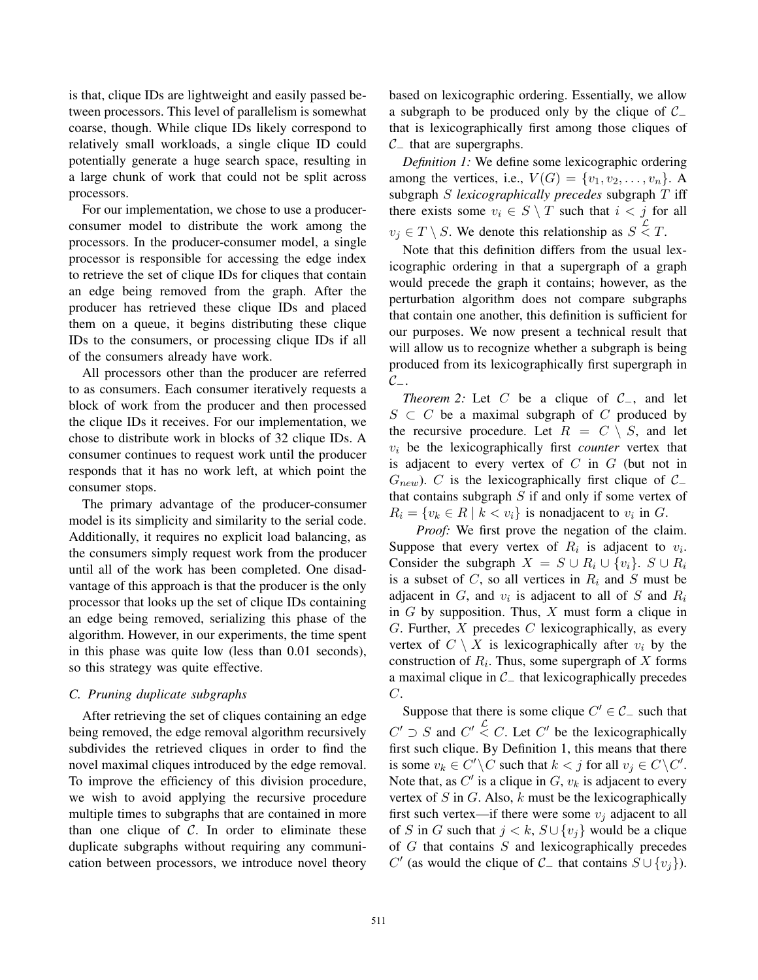is that, clique IDs are lightweight and easily passed between processors. This level of parallelism is somewhat coarse, though. While clique IDs likely correspond to relatively small workloads, a single clique ID could potentially generate a huge search space, resulting in a large chunk of work that could not be split across processors.

For our implementation, we chose to use a producerconsumer model to distribute the work among the processors. In the producer-consumer model, a single processor is responsible for accessing the edge index to retrieve the set of clique IDs for cliques that contain an edge being removed from the graph. After the producer has retrieved these clique IDs and placed them on a queue, it begins distributing these clique IDs to the consumers, or processing clique IDs if all of the consumers already have work.

All processors other than the producer are referred to as consumers. Each consumer iteratively requests a block of work from the producer and then processed the clique IDs it receives. For our implementation, we chose to distribute work in blocks of 32 clique IDs. A consumer continues to request work until the producer responds that it has no work left, at which point the consumer stops.

The primary advantage of the producer-consumer model is its simplicity and similarity to the serial code. Additionally, it requires no explicit load balancing, as the consumers simply request work from the producer until all of the work has been completed. One disadvantage of this approach is that the producer is the only processor that looks up the set of clique IDs containing an edge being removed, serializing this phase of the algorithm. However, in our experiments, the time spent in this phase was quite low (less than 0.01 seconds), so this strategy was quite effective.

### *C. Pruning duplicate subgraphs*

After retrieving the set of cliques containing an edge being removed, the edge removal algorithm recursively subdivides the retrieved cliques in order to find the novel maximal cliques introduced by the edge removal. To improve the efficiency of this division procedure, we wish to avoid applying the recursive procedure multiple times to subgraphs that are contained in more than one clique of  $C$ . In order to eliminate these duplicate subgraphs without requiring any communication between processors, we introduce novel theory based on lexicographic ordering. Essentially, we allow a subgraph to be produced only by the clique of C<sup>−</sup> that is lexicographically first among those cliques of  $C_$  that are supergraphs.

*Definition 1:* We define some lexicographic ordering among the vertices, i.e.,  $V(G) = \{v_1, v_2, \ldots, v_n\}$ . A subgraph S *lexicographically precedes* subgraph T iff there exists some  $v_i \in S \setminus T$  such that  $i < j$  for all  $v_j \in T \setminus S$ . We denote this relationship as  $S \stackrel{\mathcal{L}}{<} T$ .

Note that this definition differs from the usual lexicographic ordering in that a supergraph of a graph would precede the graph it contains; however, as the perturbation algorithm does not compare subgraphs that contain one another, this definition is sufficient for our purposes. We now present a technical result that will allow us to recognize whether a subgraph is being produced from its lexicographically first supergraph in  $\mathcal{C}_-$ .

*Theorem 2:* Let C be a clique of  $C_$ , and let  $S \subset C$  be a maximal subgraph of C produced by the recursive procedure. Let  $R = C \setminus S$ , and let  $v_i$  be the lexicographically first *counter* vertex that is adjacent to every vertex of  $C$  in  $G$  (but not in  $G_{new}$ ). C is the lexicographically first clique of  $\mathcal{C}_$ that contains subgraph  $S$  if and only if some vertex of  $R_i = \{v_k \in R \mid k < v_i\}$  is nonadjacent to  $v_i$  in  $G$ .

*Proof:* We first prove the negation of the claim. Suppose that every vertex of  $R_i$  is adjacent to  $v_i$ . Consider the subgraph  $X = S \cup R_i \cup \{v_i\}$ .  $S \cup R_i$ is a subset of  $C$ , so all vertices in  $R_i$  and S must be adjacent in  $G$ , and  $v_i$  is adjacent to all of S and  $R_i$ in  $G$  by supposition. Thus,  $X$  must form a clique in  $G$ . Further,  $X$  precedes  $C$  lexicographically, as every vertex of  $C \setminus X$  is lexicographically after  $v_i$  by the construction of  $R_i$ . Thus, some supergraph of X forms a maximal clique in C<sup>−</sup> that lexicographically precedes C.

Suppose that there is some clique  $C' \in \mathcal{C}_-$  such that  $C' \supset S$  and  $C' \stackrel{\mathcal{L}}{<} C$ . Let  $C'$  be the lexicographically first such clique. By Definition 1, this means that there is some  $v_k \in C' \backslash C$  such that  $k < j$  for all  $v_j \in C \backslash C'$ . Note that, as  $C'$  is a clique in  $G$ ,  $v_k$  is adjacent to every vertex of  $S$  in  $G$ . Also,  $k$  must be the lexicographically first such vertex—if there were some  $v_i$  adjacent to all of S in G such that  $j < k$ ,  $S \cup \{v_j\}$  would be a clique of  $G$  that contains  $S$  and lexicographically precedes C' (as would the clique of  $\mathcal{C}_-$  that contains  $S \cup \{v_j\}$ ).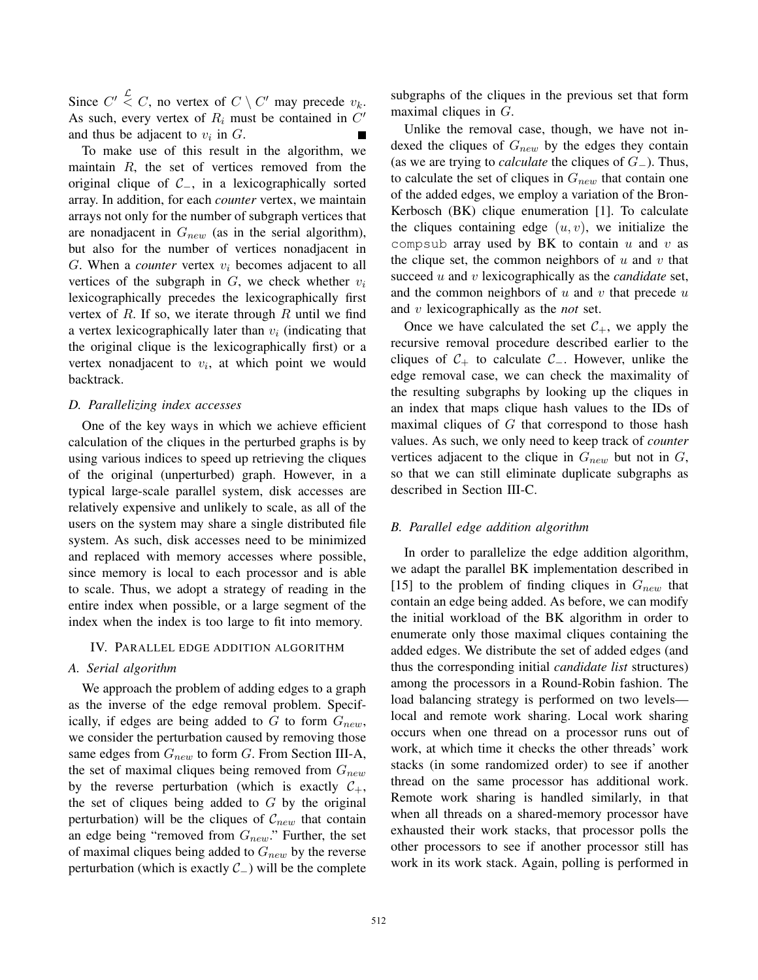Since  $C' \nleq C$ , no vertex of  $C \setminus C'$  may precede  $v_k$ . As such, every vertex of  $R_i$  must be contained in  $C'$ and thus be adjacent to  $v_i$  in  $G$ .

To make use of this result in the algorithm, we maintain R, the set of vertices removed from the original clique of C−, in a lexicographically sorted array. In addition, for each *counter* vertex, we maintain arrays not only for the number of subgraph vertices that are nonadjacent in  $G_{new}$  (as in the serial algorithm), but also for the number of vertices nonadjacent in G. When a *counter* vertex  $v_i$  becomes adjacent to all vertices of the subgraph in  $G$ , we check whether  $v_i$ lexicographically precedes the lexicographically first vertex of  $R$ . If so, we iterate through  $R$  until we find a vertex lexicographically later than  $v_i$  (indicating that the original clique is the lexicographically first) or a vertex nonadjacent to  $v_i$ , at which point we would backtrack.

#### *D. Parallelizing index accesses*

One of the key ways in which we achieve efficient calculation of the cliques in the perturbed graphs is by using various indices to speed up retrieving the cliques of the original (unperturbed) graph. However, in a typical large-scale parallel system, disk accesses are relatively expensive and unlikely to scale, as all of the users on the system may share a single distributed file system. As such, disk accesses need to be minimized and replaced with memory accesses where possible, since memory is local to each processor and is able to scale. Thus, we adopt a strategy of reading in the entire index when possible, or a large segment of the index when the index is too large to fit into memory.

#### IV. PARALLEL EDGE ADDITION ALGORITHM

#### *A. Serial algorithm*

We approach the problem of adding edges to a graph as the inverse of the edge removal problem. Specifically, if edges are being added to  $G$  to form  $G_{new}$ , we consider the perturbation caused by removing those same edges from  $G_{new}$  to form  $G$ . From Section III-A, the set of maximal cliques being removed from  $G_{new}$ by the reverse perturbation (which is exactly  $C_+$ , the set of cliques being added to  $G$  by the original perturbation) will be the cliques of  $\mathcal{C}_{new}$  that contain an edge being "removed from  $G_{new}$ ." Further, the set of maximal cliques being added to  $G_{new}$  by the reverse perturbation (which is exactly  $C_$ ) will be the complete subgraphs of the cliques in the previous set that form maximal cliques in G.

Unlike the removal case, though, we have not indexed the cliques of  $G_{new}$  by the edges they contain (as we are trying to *calculate* the cliques of G−). Thus, to calculate the set of cliques in  $G_{new}$  that contain one of the added edges, we employ a variation of the Bron-Kerbosch (BK) clique enumeration [1]. To calculate the cliques containing edge  $(u, v)$ , we initialize the compsub array used by BK to contain  $u$  and  $v$  as the clique set, the common neighbors of  $u$  and  $v$  that succeed u and v lexicographically as the *candidate* set, and the common neighbors of  $u$  and  $v$  that precede  $u$ and v lexicographically as the *not* set.

Once we have calculated the set  $C_+$ , we apply the recursive removal procedure described earlier to the cliques of  $C_+$  to calculate  $C_-.$  However, unlike the edge removal case, we can check the maximality of the resulting subgraphs by looking up the cliques in an index that maps clique hash values to the IDs of maximal cliques of G that correspond to those hash values. As such, we only need to keep track of *counter* vertices adjacent to the clique in  $G_{new}$  but not in  $G$ , so that we can still eliminate duplicate subgraphs as described in Section III-C.

#### *B. Parallel edge addition algorithm*

In order to parallelize the edge addition algorithm, we adapt the parallel BK implementation described in [15] to the problem of finding cliques in  $G_{new}$  that contain an edge being added. As before, we can modify the initial workload of the BK algorithm in order to enumerate only those maximal cliques containing the added edges. We distribute the set of added edges (and thus the corresponding initial *candidate list* structures) among the processors in a Round-Robin fashion. The load balancing strategy is performed on two levels local and remote work sharing. Local work sharing occurs when one thread on a processor runs out of work, at which time it checks the other threads' work stacks (in some randomized order) to see if another thread on the same processor has additional work. Remote work sharing is handled similarly, in that when all threads on a shared-memory processor have exhausted their work stacks, that processor polls the other processors to see if another processor still has work in its work stack. Again, polling is performed in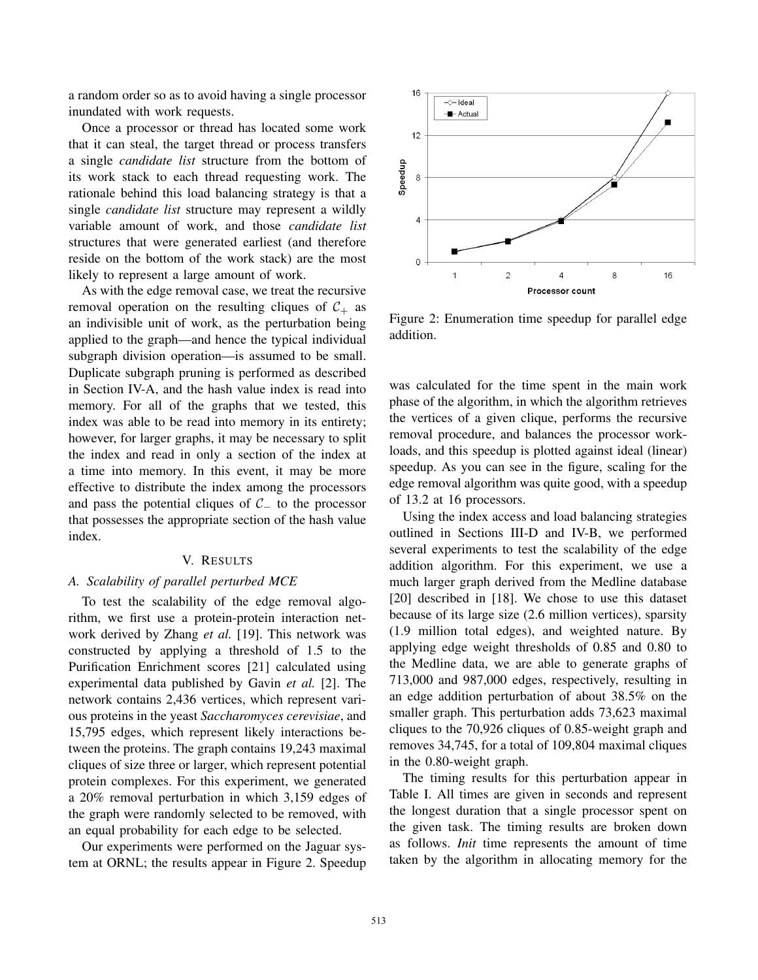a random order so as to avoid having a single processor inundated with work requests.

Once a processor or thread has located some work that it can steal, the target thread or process transfers a single *candidate list* structure from the bottom of its work stack to each thread requesting work. The rationale behind this load balancing strategy is that a single *candidate list* structure may represent a wildly variable amount of work, and those *candidate list* structures that were generated earliest (and therefore reside on the bottom of the work stack) are the most likely to represent a large amount of work.

As with the edge removal case, we treat the recursive removal operation on the resulting cliques of  $C_+$  as an indivisible unit of work, as the perturbation being applied to the graph—and hence the typical individual subgraph division operation—is assumed to be small. Duplicate subgraph pruning is performed as described in Section IV-A, and the hash value index is read into memory. For all of the graphs that we tested, this index was able to be read into memory in its entirety; however, for larger graphs, it may be necessary to split the index and read in only a section of the index at a time into memory. In this event, it may be more effective to distribute the index among the processors and pass the potential cliques of  $C_$  to the processor that possesses the appropriate section of the hash value index.

#### V. RESULTS

#### *A. Scalability of parallel perturbed MCE*

To test the scalability of the edge removal algorithm, we first use a protein-protein interaction network derived by Zhang *et al.* [19]. This network was constructed by applying a threshold of 1.5 to the Purification Enrichment scores [21] calculated using experimental data published by Gavin *et al.* [2]. The network contains 2,436 vertices, which represent various proteins in the yeast *Saccharomyces cerevisiae*, and 15,795 edges, which represent likely interactions between the proteins. The graph contains 19,243 maximal cliques of size three or larger, which represent potential protein complexes. For this experiment, we generated a 20% removal perturbation in which 3,159 edges of the graph were randomly selected to be removed, with an equal probability for each edge to be selected.

Our experiments were performed on the Jaguar system at ORNL; the results appear in Figure 2. Speedup



Figure 2: Enumeration time speedup for parallel edge addition.

was calculated for the time spent in the main work phase of the algorithm, in which the algorithm retrieves the vertices of a given clique, performs the recursive removal procedure, and balances the processor workloads, and this speedup is plotted against ideal (linear) speedup. As you can see in the figure, scaling for the edge removal algorithm was quite good, with a speedup of 13.2 at 16 processors.

Using the index access and load balancing strategies outlined in Sections III-D and IV-B, we performed several experiments to test the scalability of the edge addition algorithm. For this experiment, we use a much larger graph derived from the Medline database [20] described in [18]. We chose to use this dataset because of its large size (2.6 million vertices), sparsity (1.9 million total edges), and weighted nature. By applying edge weight thresholds of 0.85 and 0.80 to the Medline data, we are able to generate graphs of 713,000 and 987,000 edges, respectively, resulting in an edge addition perturbation of about 38.5% on the smaller graph. This perturbation adds 73,623 maximal cliques to the 70,926 cliques of 0.85-weight graph and removes 34,745, for a total of 109,804 maximal cliques in the 0.80-weight graph.

The timing results for this perturbation appear in Table I. All times are given in seconds and represent the longest duration that a single processor spent on the given task. The timing results are broken down as follows. *Init* time represents the amount of time taken by the algorithm in allocating memory for the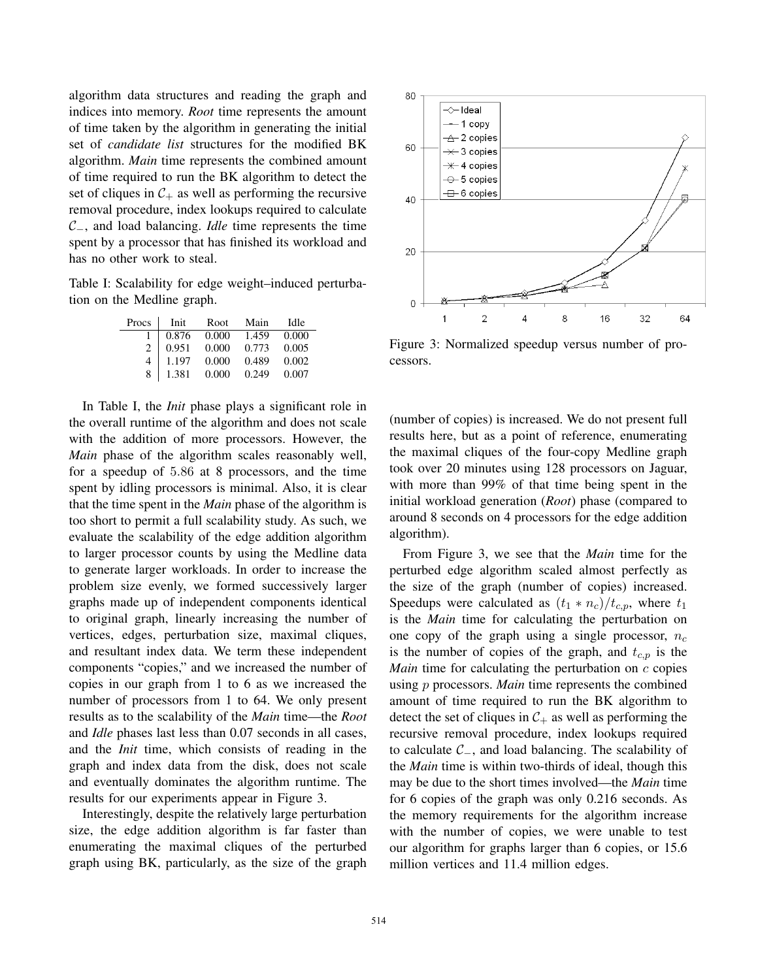algorithm data structures and reading the graph and indices into memory. *Root* time represents the amount of time taken by the algorithm in generating the initial set of *candidate list* structures for the modified BK algorithm. *Main* time represents the combined amount of time required to run the BK algorithm to detect the set of cliques in  $C_+$  as well as performing the recursive removal procedure, index lookups required to calculate C−, and load balancing. *Idle* time represents the time spent by a processor that has finished its workload and has no other work to steal.

Table I: Scalability for edge weight–induced perturbation on the Medline graph.

| Procs $\vert$  |             | Init Root Main |                     | Idle  |
|----------------|-------------|----------------|---------------------|-------|
|                | 0.876 0.000 |                | 1.459               | 0.000 |
| $\overline{2}$ | 0.951       | 0.000          | 0.773 0.005         |       |
| $\overline{4}$ | 1.197       | 0.000          | 0.489               | 0.002 |
| 8              | 1.381       |                | $0.000 \quad 0.249$ | 0.007 |

In Table I, the *Init* phase plays a significant role in the overall runtime of the algorithm and does not scale with the addition of more processors. However, the *Main* phase of the algorithm scales reasonably well, for a speedup of 5.86 at 8 processors, and the time spent by idling processors is minimal. Also, it is clear that the time spent in the *Main* phase of the algorithm is too short to permit a full scalability study. As such, we evaluate the scalability of the edge addition algorithm to larger processor counts by using the Medline data to generate larger workloads. In order to increase the problem size evenly, we formed successively larger graphs made up of independent components identical to original graph, linearly increasing the number of vertices, edges, perturbation size, maximal cliques, and resultant index data. We term these independent components "copies," and we increased the number of copies in our graph from 1 to 6 as we increased the number of processors from 1 to 64. We only present results as to the scalability of the *Main* time—the *Root* and *Idle* phases last less than 0.07 seconds in all cases, and the *Init* time, which consists of reading in the graph and index data from the disk, does not scale and eventually dominates the algorithm runtime. The results for our experiments appear in Figure 3.

Interestingly, despite the relatively large perturbation size, the edge addition algorithm is far faster than enumerating the maximal cliques of the perturbed graph using BK, particularly, as the size of the graph



Figure 3: Normalized speedup versus number of processors.

(number of copies) is increased. We do not present full results here, but as a point of reference, enumerating the maximal cliques of the four-copy Medline graph took over 20 minutes using 128 processors on Jaguar, with more than 99% of that time being spent in the initial workload generation (*Root*) phase (compared to around 8 seconds on 4 processors for the edge addition algorithm).

From Figure 3, we see that the *Main* time for the perturbed edge algorithm scaled almost perfectly as the size of the graph (number of copies) increased. Speedups were calculated as  $(t_1 * n_c)/t_{c,p}$ , where  $t_1$ is the *Main* time for calculating the perturbation on one copy of the graph using a single processor,  $n_c$ is the number of copies of the graph, and  $t_{c,p}$  is the *Main* time for calculating the perturbation on c copies using p processors. *Main* time represents the combined amount of time required to run the BK algorithm to detect the set of cliques in  $C_+$  as well as performing the recursive removal procedure, index lookups required to calculate C−, and load balancing. The scalability of the *Main* time is within two-thirds of ideal, though this may be due to the short times involved—the *Main* time for 6 copies of the graph was only 0.216 seconds. As the memory requirements for the algorithm increase with the number of copies, we were unable to test our algorithm for graphs larger than 6 copies, or 15.6 million vertices and 11.4 million edges.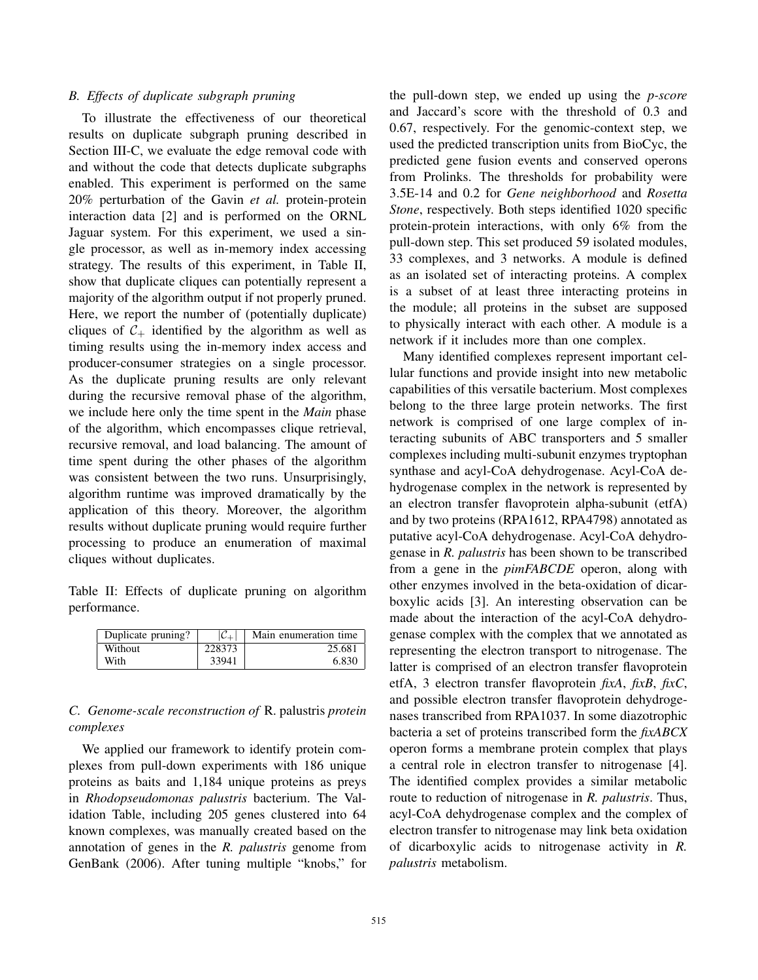## *B. Effects of duplicate subgraph pruning*

To illustrate the effectiveness of our theoretical results on duplicate subgraph pruning described in Section III-C, we evaluate the edge removal code with and without the code that detects duplicate subgraphs enabled. This experiment is performed on the same 20% perturbation of the Gavin *et al.* protein-protein interaction data [2] and is performed on the ORNL Jaguar system. For this experiment, we used a single processor, as well as in-memory index accessing strategy. The results of this experiment, in Table II, show that duplicate cliques can potentially represent a majority of the algorithm output if not properly pruned. Here, we report the number of (potentially duplicate) cliques of  $C_+$  identified by the algorithm as well as timing results using the in-memory index access and producer-consumer strategies on a single processor. As the duplicate pruning results are only relevant during the recursive removal phase of the algorithm, we include here only the time spent in the *Main* phase of the algorithm, which encompasses clique retrieval, recursive removal, and load balancing. The amount of time spent during the other phases of the algorithm was consistent between the two runs. Unsurprisingly, algorithm runtime was improved dramatically by the application of this theory. Moreover, the algorithm results without duplicate pruning would require further processing to produce an enumeration of maximal cliques without duplicates.

Table II: Effects of duplicate pruning on algorithm performance.

| Duplicate pruning? |        | Main enumeration time |
|--------------------|--------|-----------------------|
| Without            | 228373 | 25.681                |
| With               | 33941  | 6.830                 |

# *C. Genome-scale reconstruction of* R. palustris *protein complexes*

We applied our framework to identify protein complexes from pull-down experiments with 186 unique proteins as baits and 1,184 unique proteins as preys in *Rhodopseudomonas palustris* bacterium. The Validation Table, including 205 genes clustered into 64 known complexes, was manually created based on the annotation of genes in the *R. palustris* genome from GenBank (2006). After tuning multiple "knobs," for the pull-down step, we ended up using the *p-score* and Jaccard's score with the threshold of 0.3 and 0.67, respectively. For the genomic-context step, we used the predicted transcription units from BioCyc, the predicted gene fusion events and conserved operons from Prolinks. The thresholds for probability were 3.5E-14 and 0.2 for *Gene neighborhood* and *Rosetta Stone*, respectively. Both steps identified 1020 specific protein-protein interactions, with only 6% from the pull-down step. This set produced 59 isolated modules, 33 complexes, and 3 networks. A module is defined as an isolated set of interacting proteins. A complex is a subset of at least three interacting proteins in the module; all proteins in the subset are supposed to physically interact with each other. A module is a network if it includes more than one complex.

Many identified complexes represent important cellular functions and provide insight into new metabolic capabilities of this versatile bacterium. Most complexes belong to the three large protein networks. The first network is comprised of one large complex of interacting subunits of ABC transporters and 5 smaller complexes including multi-subunit enzymes tryptophan synthase and acyl-CoA dehydrogenase. Acyl-CoA dehydrogenase complex in the network is represented by an electron transfer flavoprotein alpha-subunit (etfA) and by two proteins (RPA1612, RPA4798) annotated as putative acyl-CoA dehydrogenase. Acyl-CoA dehydrogenase in *R. palustris* has been shown to be transcribed from a gene in the *pimFABCDE* operon, along with other enzymes involved in the beta-oxidation of dicarboxylic acids [3]. An interesting observation can be made about the interaction of the acyl-CoA dehydrogenase complex with the complex that we annotated as representing the electron transport to nitrogenase. The latter is comprised of an electron transfer flavoprotein etfA, 3 electron transfer flavoprotein *fixA*, *fixB*, *fixC*, and possible electron transfer flavoprotein dehydrogenases transcribed from RPA1037. In some diazotrophic bacteria a set of proteins transcribed form the *fixABCX* operon forms a membrane protein complex that plays a central role in electron transfer to nitrogenase [4]. The identified complex provides a similar metabolic route to reduction of nitrogenase in *R. palustris*. Thus, acyl-CoA dehydrogenase complex and the complex of electron transfer to nitrogenase may link beta oxidation of dicarboxylic acids to nitrogenase activity in *R. palustris* metabolism.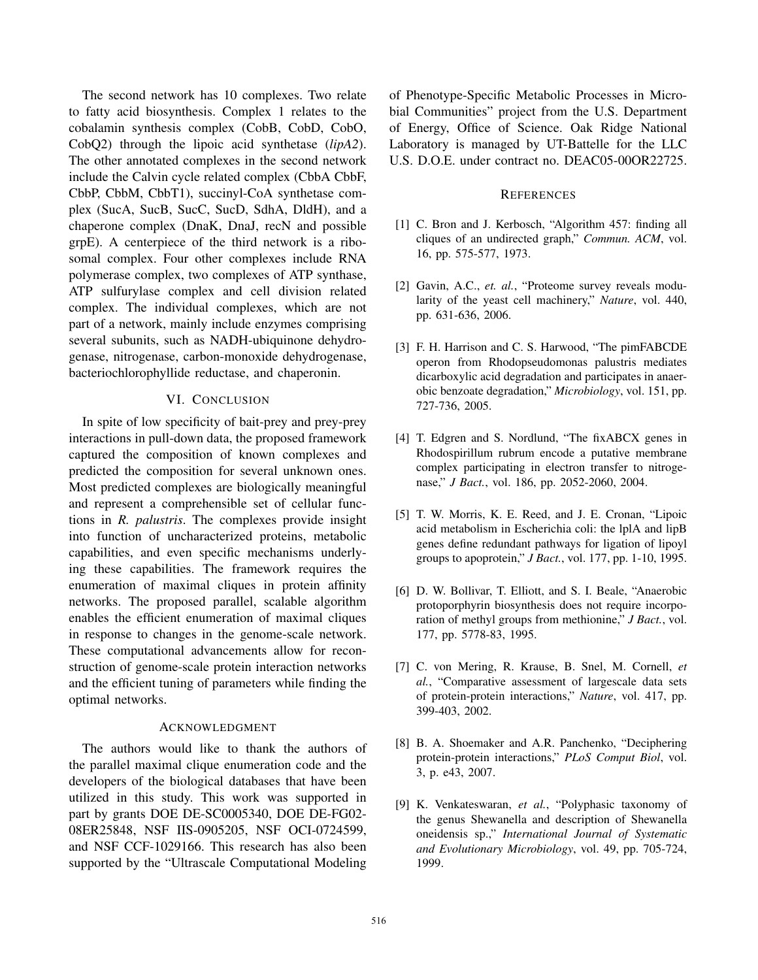The second network has 10 complexes. Two relate to fatty acid biosynthesis. Complex 1 relates to the cobalamin synthesis complex (CobB, CobD, CobO, CobQ2) through the lipoic acid synthetase (*lipA2*). The other annotated complexes in the second network include the Calvin cycle related complex (CbbA CbbF, CbbP, CbbM, CbbT1), succinyl-CoA synthetase complex (SucA, SucB, SucC, SucD, SdhA, DldH), and a chaperone complex (DnaK, DnaJ, recN and possible grpE). A centerpiece of the third network is a ribosomal complex. Four other complexes include RNA polymerase complex, two complexes of ATP synthase, ATP sulfurylase complex and cell division related complex. The individual complexes, which are not part of a network, mainly include enzymes comprising several subunits, such as NADH-ubiquinone dehydrogenase, nitrogenase, carbon-monoxide dehydrogenase, bacteriochlorophyllide reductase, and chaperonin.

### VI. CONCLUSION

In spite of low specificity of bait-prey and prey-prey interactions in pull-down data, the proposed framework captured the composition of known complexes and predicted the composition for several unknown ones. Most predicted complexes are biologically meaningful and represent a comprehensible set of cellular functions in *R. palustris*. The complexes provide insight into function of uncharacterized proteins, metabolic capabilities, and even specific mechanisms underlying these capabilities. The framework requires the enumeration of maximal cliques in protein affinity networks. The proposed parallel, scalable algorithm enables the efficient enumeration of maximal cliques in response to changes in the genome-scale network. These computational advancements allow for reconstruction of genome-scale protein interaction networks and the efficient tuning of parameters while finding the optimal networks.

#### ACKNOWLEDGMENT

The authors would like to thank the authors of the parallel maximal clique enumeration code and the developers of the biological databases that have been utilized in this study. This work was supported in part by grants DOE DE-SC0005340, DOE DE-FG02- 08ER25848, NSF IIS-0905205, NSF OCI-0724599, and NSF CCF-1029166. This research has also been supported by the "Ultrascale Computational Modeling of Phenotype-Specific Metabolic Processes in Microbial Communities" project from the U.S. Department of Energy, Office of Science. Oak Ridge National Laboratory is managed by UT-Battelle for the LLC U.S. D.O.E. under contract no. DEAC05-00OR22725.

#### **REFERENCES**

- [1] C. Bron and J. Kerbosch, "Algorithm 457: finding all cliques of an undirected graph," *Commun. ACM*, vol. 16, pp. 575-577, 1973.
- [2] Gavin, A.C., *et. al.*, "Proteome survey reveals modularity of the yeast cell machinery," *Nature*, vol. 440, pp. 631-636, 2006.
- [3] F. H. Harrison and C. S. Harwood, "The pimFABCDE operon from Rhodopseudomonas palustris mediates dicarboxylic acid degradation and participates in anaerobic benzoate degradation," *Microbiology*, vol. 151, pp. 727-736, 2005.
- [4] T. Edgren and S. Nordlund, "The fixABCX genes in Rhodospirillum rubrum encode a putative membrane complex participating in electron transfer to nitrogenase," *J Bact.*, vol. 186, pp. 2052-2060, 2004.
- [5] T. W. Morris, K. E. Reed, and J. E. Cronan, "Lipoic acid metabolism in Escherichia coli: the lplA and lipB genes define redundant pathways for ligation of lipoyl groups to apoprotein," *J Bact.*, vol. 177, pp. 1-10, 1995.
- [6] D. W. Bollivar, T. Elliott, and S. I. Beale, "Anaerobic protoporphyrin biosynthesis does not require incorporation of methyl groups from methionine," *J Bact.*, vol. 177, pp. 5778-83, 1995.
- [7] C. von Mering, R. Krause, B. Snel, M. Cornell, *et al.*, "Comparative assessment of largescale data sets of protein-protein interactions," *Nature*, vol. 417, pp. 399-403, 2002.
- [8] B. A. Shoemaker and A.R. Panchenko, "Deciphering protein-protein interactions," *PLoS Comput Biol*, vol. 3, p. e43, 2007.
- [9] K. Venkateswaran, *et al.*, "Polyphasic taxonomy of the genus Shewanella and description of Shewanella oneidensis sp.," *International Journal of Systematic and Evolutionary Microbiology*, vol. 49, pp. 705-724, 1999.